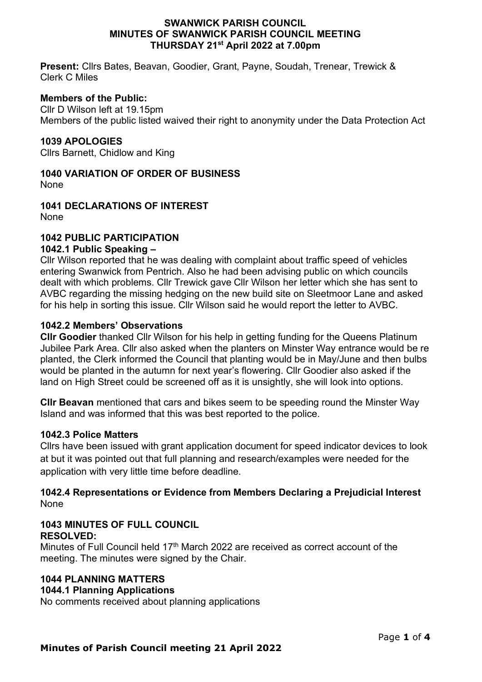#### **SWANWICK PARISH COUNCIL MINUTES OF SWANWICK PARISH COUNCIL MEETING THURSDAY 21st April 2022 at 7.00pm**

**Present:** Cllrs Bates, Beavan, Goodier, Grant, Payne, Soudah, Trenear, Trewick & Clerk C Miles

### **Members of the Public:**

Cllr D Wilson left at 19.15pm Members of the public listed waived their right to anonymity under the Data Protection Act

### **1039 APOLOGIES**

Cllrs Barnett, Chidlow and King

# **1040 VARIATION OF ORDER OF BUSINESS**

None

**1041 DECLARATIONS OF INTEREST** None

### **1042 PUBLIC PARTICIPATION**

### **1042.1 Public Speaking –**

Cllr Wilson reported that he was dealing with complaint about traffic speed of vehicles entering Swanwick from Pentrich. Also he had been advising public on which councils dealt with which problems. Cllr Trewick gave Cllr Wilson her letter which she has sent to AVBC regarding the missing hedging on the new build site on Sleetmoor Lane and asked for his help in sorting this issue. Cllr Wilson said he would report the letter to AVBC.

### **1042.2 Members' Observations**

**Cllr Goodier** thanked Cllr Wilson for his help in getting funding for the Queens Platinum Jubilee Park Area. Cllr also asked when the planters on Minster Way entrance would be re planted, the Clerk informed the Council that planting would be in May/June and then bulbs would be planted in the autumn for next year's flowering. Cllr Goodier also asked if the land on High Street could be screened off as it is unsightly, she will look into options.

**Cllr Beavan** mentioned that cars and bikes seem to be speeding round the Minster Way Island and was informed that this was best reported to the police.

### **1042.3 Police Matters**

Cllrs have been issued with grant application document for speed indicator devices to look at but it was pointed out that full planning and research/examples were needed for the application with very little time before deadline.

### **1042.4 Representations or Evidence from Members Declaring a Prejudicial Interest** None

### **1043 MINUTES OF FULL COUNCIL RESOLVED:**

Minutes of Full Council held 17<sup>th</sup> March 2022 are received as correct account of the meeting. The minutes were signed by the Chair.

# **1044 PLANNING MATTERS**

### **1044.1 Planning Applications**

No comments received about planning applications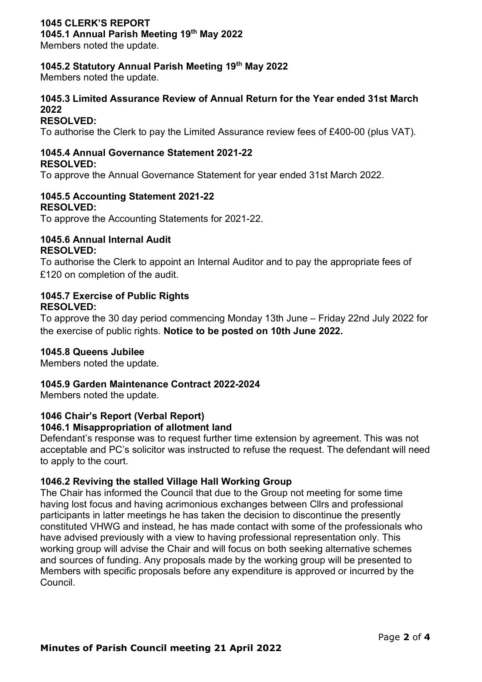## **1045 CLERK'S REPORT**

**1045.1 Annual Parish Meeting 19th May 2022**

Members noted the update.

### **1045.2 Statutory Annual Parish Meeting 19th May 2022**

Members noted the update.

### **1045.3 Limited Assurance Review of Annual Return for the Year ended 31st March 2022**

### **RESOLVED:**

To authorise the Clerk to pay the Limited Assurance review fees of £400-00 (plus VAT).

#### **1045.4 Annual Governance Statement 2021-22 RESOLVED:**

To approve the Annual Governance Statement for year ended 31st March 2022.

#### **1045.5 Accounting Statement 2021-22 RESOLVED:**

To approve the Accounting Statements for 2021-22.

### **1045.6 Annual Internal Audit RESOLVED:**

To authorise the Clerk to appoint an Internal Auditor and to pay the appropriate fees of £120 on completion of the audit.

### **1045.7 Exercise of Public Rights RESOLVED:**

To approve the 30 day period commencing Monday 13th June – Friday 22nd July 2022 for the exercise of public rights. **Notice to be posted on 10th June 2022.**

### **1045.8 Queens Jubilee**

Members noted the update.

#### **1045.9 Garden Maintenance Contract 2022-2024**

Members noted the update.

#### **1046 Chair's Report (Verbal Report) 1046.1 Misappropriation of allotment land**

Defendant's response was to request further time extension by agreement. This was not acceptable and PC's solicitor was instructed to refuse the request. The defendant will need to apply to the court.

### **1046.2 Reviving the stalled Village Hall Working Group**

The Chair has informed the Council that due to the Group not meeting for some time having lost focus and having acrimonious exchanges between Cllrs and professional participants in latter meetings he has taken the decision to discontinue the presently constituted VHWG and instead, he has made contact with some of the professionals who have advised previously with a view to having professional representation only. This working group will advise the Chair and will focus on both seeking alternative schemes and sources of funding. Any proposals made by the working group will be presented to Members with specific proposals before any expenditure is approved or incurred by the Council.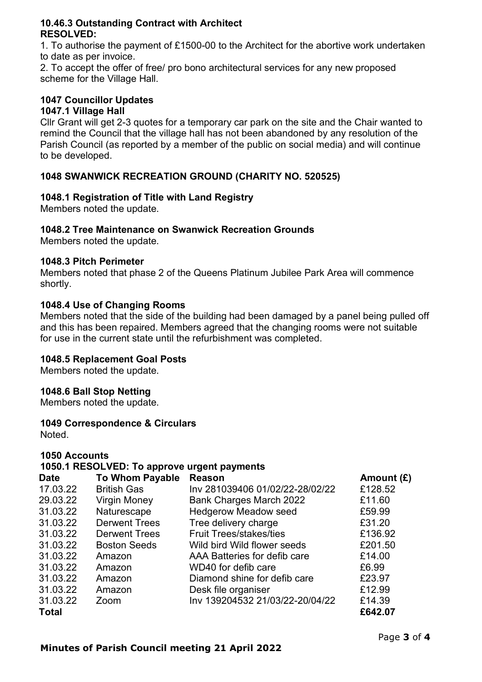### **10.46.3 Outstanding Contract with Architect RESOLVED:**

1. To authorise the payment of £1500-00 to the Architect for the abortive work undertaken to date as per invoice.

2. To accept the offer of free/ pro bono architectural services for any new proposed scheme for the Village Hall.

# **1047 Councillor Updates**

# **1047.1 Village Hall**

Cllr Grant will get 2-3 quotes for a temporary car park on the site and the Chair wanted to remind the Council that the village hall has not been abandoned by any resolution of the Parish Council (as reported by a member of the public on social media) and will continue to be developed.

# **1048 SWANWICK RECREATION GROUND (CHARITY NO. 520525)**

# **1048.1 Registration of Title with Land Registry**

Members noted the update.

# **1048.2 Tree Maintenance on Swanwick Recreation Grounds**

Members noted the update.

### **1048.3 Pitch Perimeter**

Members noted that phase 2 of the Queens Platinum Jubilee Park Area will commence shortly.

### **1048.4 Use of Changing Rooms**

Members noted that the side of the building had been damaged by a panel being pulled off and this has been repaired. Members agreed that the changing rooms were not suitable for use in the current state until the refurbishment was completed.

# **1048.5 Replacement Goal Posts**

Members noted the update.

### **1048.6 Ball Stop Netting**

Members noted the update.

# **1049 Correspondence & Circulars**

**Noted** 

# **1050 Accounts**

# **1050.1 RESOLVED: To approve urgent payments**

| <b>Date</b>  | <b>To Whom Payable</b> | <b>Reason</b>                   | Amount $(E)$ |
|--------------|------------------------|---------------------------------|--------------|
| 17.03.22     | <b>British Gas</b>     | Inv 281039406 01/02/22-28/02/22 | £128.52      |
| 29.03.22     | <b>Virgin Money</b>    | <b>Bank Charges March 2022</b>  | £11.60       |
| 31.03.22     | Naturescape            | <b>Hedgerow Meadow seed</b>     | £59.99       |
| 31.03.22     | <b>Derwent Trees</b>   | Tree delivery charge            | £31.20       |
| 31.03.22     | <b>Derwent Trees</b>   | <b>Fruit Trees/stakes/ties</b>  | £136.92      |
| 31.03.22     | <b>Boston Seeds</b>    | Wild bird Wild flower seeds     | £201.50      |
| 31.03.22     | Amazon                 | AAA Batteries for defib care    | £14.00       |
| 31.03.22     | Amazon                 | WD40 for defib care             | £6.99        |
| 31.03.22     | Amazon                 | Diamond shine for defib care    | £23.97       |
| 31.03.22     | Amazon                 | Desk file organiser             | £12.99       |
| 31.03.22     | Zoom                   | Inv 139204532 21/03/22-20/04/22 | £14.39       |
| <b>Total</b> |                        |                                 | £642.07      |